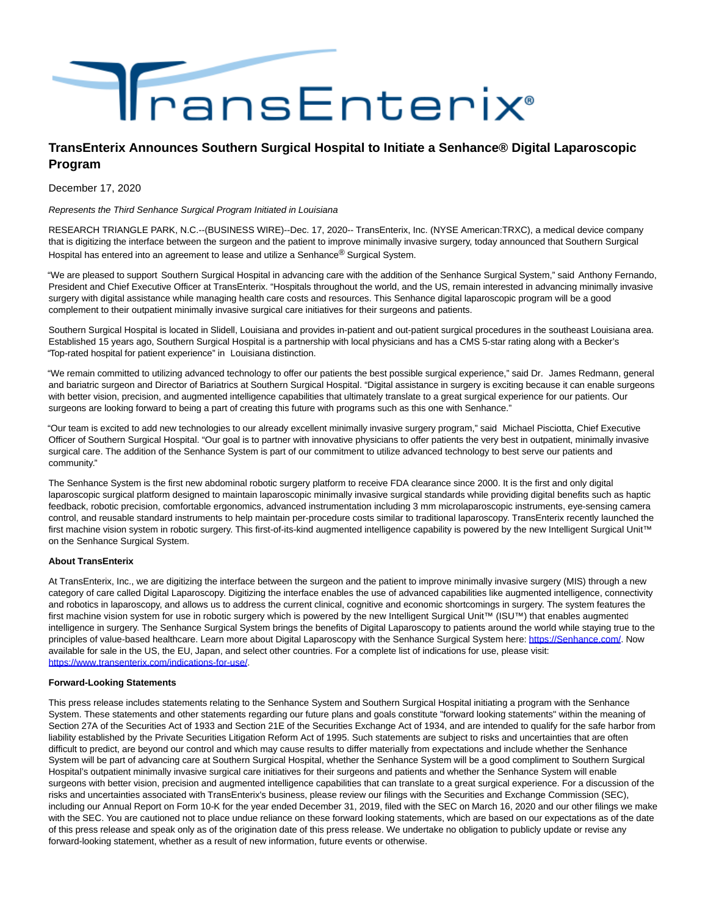

## **TransEnterix Announces Southern Surgical Hospital to Initiate a Senhance® Digital Laparoscopic Program**

December 17, 2020

Represents the Third Senhance Surgical Program Initiated in Louisiana

RESEARCH TRIANGLE PARK, N.C.--(BUSINESS WIRE)--Dec. 17, 2020-- TransEnterix, Inc. (NYSE American:TRXC), a medical device company that is digitizing the interface between the surgeon and the patient to improve minimally invasive surgery, today announced that Southern Surgical Hospital has entered into an agreement to lease and utilize a Senhance<sup>®</sup> Surgical System.

"We are pleased to support Southern Surgical Hospital in advancing care with the addition of the Senhance Surgical System," said Anthony Fernando, President and Chief Executive Officer at TransEnterix. "Hospitals throughout the world, and the US, remain interested in advancing minimally invasive surgery with digital assistance while managing health care costs and resources. This Senhance digital laparoscopic program will be a good complement to their outpatient minimally invasive surgical care initiatives for their surgeons and patients.

Southern Surgical Hospital is located in Slidell, Louisiana and provides in-patient and out-patient surgical procedures in the southeast Louisiana area. Established 15 years ago, Southern Surgical Hospital is a partnership with local physicians and has a CMS 5-star rating along with a Becker's "Top-rated hospital for patient experience" in Louisiana distinction.

"We remain committed to utilizing advanced technology to offer our patients the best possible surgical experience," said Dr. James Redmann, general and bariatric surgeon and Director of Bariatrics at Southern Surgical Hospital. "Digital assistance in surgery is exciting because it can enable surgeons with better vision, precision, and augmented intelligence capabilities that ultimately translate to a great surgical experience for our patients. Our surgeons are looking forward to being a part of creating this future with programs such as this one with Senhance."

"Our team is excited to add new technologies to our already excellent minimally invasive surgery program," said Michael Pisciotta, Chief Executive Officer of Southern Surgical Hospital. "Our goal is to partner with innovative physicians to offer patients the very best in outpatient, minimally invasive surgical care. The addition of the Senhance System is part of our commitment to utilize advanced technology to best serve our patients and community."

The Senhance System is the first new abdominal robotic surgery platform to receive FDA clearance since 2000. It is the first and only digital laparoscopic surgical platform designed to maintain laparoscopic minimally invasive surgical standards while providing digital benefits such as haptic feedback, robotic precision, comfortable ergonomics, advanced instrumentation including 3 mm microlaparoscopic instruments, eye-sensing camera control, and reusable standard instruments to help maintain per-procedure costs similar to traditional laparoscopy. TransEnterix recently launched the first machine vision system in robotic surgery. This first-of-its-kind augmented intelligence capability is powered by the new Intelligent Surgical Unit™ on the Senhance Surgical System.

## **About TransEnterix**

At TransEnterix, Inc., we are digitizing the interface between the surgeon and the patient to improve minimally invasive surgery (MIS) through a new category of care called Digital Laparoscopy. Digitizing the interface enables the use of advanced capabilities like augmented intelligence, connectivity and robotics in laparoscopy, and allows us to address the current clinical, cognitive and economic shortcomings in surgery. The system features the first machine vision system for use in robotic surgery which is powered by the new Intelligent Surgical Unit™ (ISU™) that enables augmented intelligence in surgery. The Senhance Surgical System brings the benefits of Digital Laparoscopy to patients around the world while staying true to the principles of value-based healthcare. Learn more about Digital Laparoscopy with the Senhance Surgical System here: [https://Senhance.com/.](https://cts.businesswire.com/ct/CT?id=smartlink&url=https%3A%2F%2Fsenhance.com%2F&esheet=52350217&newsitemid=20201217005281&lan=en-US&anchor=https%3A%2F%2FSenhance.com%2F&index=1&md5=e1e163e0a1056421b9ec863c0d9e968b) Now available for sale in the US, the EU, Japan, and select other countries. For a complete list of indications for use, please visit: [https://www.transenterix.com/indications-for-use/.](https://cts.businesswire.com/ct/CT?id=smartlink&url=https%3A%2F%2Fwww.transenterix.com%2Findications-for-use%2F&esheet=52350217&newsitemid=20201217005281&lan=en-US&anchor=https%3A%2F%2Fwww.transenterix.com%2Findications-for-use%2F&index=2&md5=35c7b61e8f6e713f4ba9835f8cc9d943)

## **Forward-Looking Statements**

This press release includes statements relating to the Senhance System and Southern Surgical Hospital initiating a program with the Senhance System. These statements and other statements regarding our future plans and goals constitute "forward looking statements" within the meaning of Section 27A of the Securities Act of 1933 and Section 21E of the Securities Exchange Act of 1934, and are intended to qualify for the safe harbor from liability established by the Private Securities Litigation Reform Act of 1995. Such statements are subject to risks and uncertainties that are often difficult to predict, are beyond our control and which may cause results to differ materially from expectations and include whether the Senhance System will be part of advancing care at Southern Surgical Hospital, whether the Senhance System will be a good compliment to Southern Surgical Hospital's outpatient minimally invasive surgical care initiatives for their surgeons and patients and whether the Senhance System will enable surgeons with better vision, precision and augmented intelligence capabilities that can translate to a great surgical experience. For a discussion of the risks and uncertainties associated with TransEnterix's business, please review our filings with the Securities and Exchange Commission (SEC), including our Annual Report on Form 10-K for the year ended December 31, 2019, filed with the SEC on March 16, 2020 and our other filings we make with the SEC. You are cautioned not to place undue reliance on these forward looking statements, which are based on our expectations as of the date of this press release and speak only as of the origination date of this press release. We undertake no obligation to publicly update or revise any forward-looking statement, whether as a result of new information, future events or otherwise.